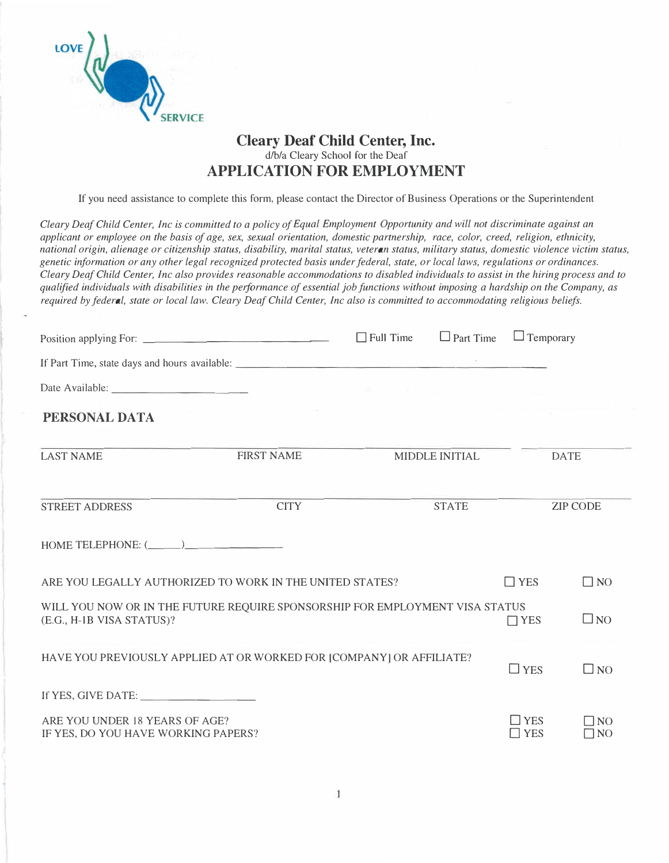

## **Cleary Deaf Child Center, Inc.**  d/b/a Cleary School for the Deaf **APPLICATION FOR EMPLOYMENT**

If you need assistance to complete this form, please contact the Director of Business Operations or the Superintendent

*Cleary Deaf Child Center, Inc is committed to a policy of Equal Employment Opportunity and will not discriminate against an applicant or employee on the basis of age, sex, sexual orientation, domestic partnership, race, color, creed, religion, ethnicity, national origin, alienage or citizenship status, disability, marital status, veteran status, military status, domestic violence victim status, genetic information or any other legal recognized protected basis under federal, state, or local laws, regulations or ordinances. Cleary Deaf Child Center, Inc also provides reasonable accommodations to disabled individuals to assist in the hiring process and to qualified individuals with disabilities in the performance of essential job functions without imposing a hardship on the Company, as required by federal, state or local law. Cleary Deaf Child Center, Inc also is committed to accommodating religious beliefs.* 

|                                                                       |                                                                              |                                 | $\Box$ Full Time $\Box$ Part Time $\Box$ Temporary |                             |                           |
|-----------------------------------------------------------------------|------------------------------------------------------------------------------|---------------------------------|----------------------------------------------------|-----------------------------|---------------------------|
|                                                                       |                                                                              |                                 |                                                    |                             |                           |
|                                                                       |                                                                              | the contract of the contract of |                                                    |                             |                           |
| PERSONAL DATA                                                         |                                                                              |                                 |                                                    | ______                      |                           |
| <b>LAST NAME</b>                                                      | <b>FIRST NAME</b>                                                            |                                 | MIDDLE INITIAL                                     |                             | <b>DATE</b>               |
| <b>STREET ADDRESS</b>                                                 | <b>CITY</b>                                                                  |                                 | <b>STATE</b>                                       |                             | <b>ZIP CODE</b>           |
| HOME TELEPHONE: $(\_\_)$                                              |                                                                              |                                 |                                                    |                             |                           |
|                                                                       | ARE YOU LEGALLY AUTHORIZED TO WORK IN THE UNITED STATES?                     |                                 |                                                    | $\Box$ YES                  | $\Box$ NO                 |
| (E.G., H-IB VISA STATUS)?                                             | WILL YOU NOW OR IN THE FUTURE REQUIRE SPONSORSHIP FOR EMPLOYMENT VISA STATUS |                                 |                                                    | $\Box$ YES                  | $\square$ NO              |
|                                                                       | HAVE YOU PREVIOUSLY APPLIED AT OR WORKED FOR [COMPANY] OR AFFILIATE?         |                                 |                                                    | $\Box$ YES                  | $\Box$ NO                 |
|                                                                       |                                                                              |                                 |                                                    |                             |                           |
| ARE YOU UNDER 18 YEARS OF AGE?<br>IF YES, DO YOU HAVE WORKING PAPERS? |                                                                              |                                 |                                                    | $\square$ YES<br>$\Box$ YES | $\Box$ NO<br>$\square$ NO |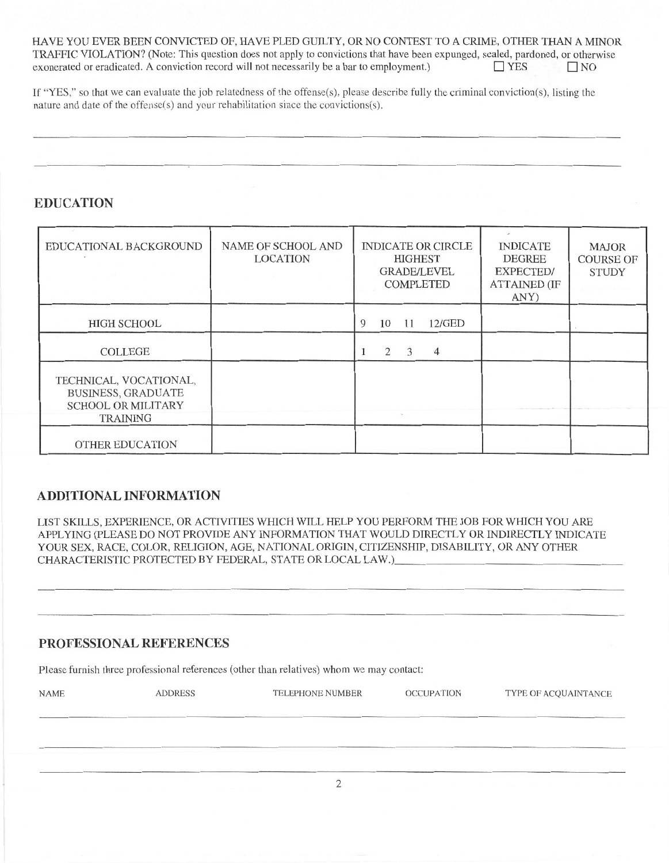HAVE YOU EVER BEEN CONVICTED OF, HAVE PLED GUILTY, OR NO CONTEST TO A CRIME, OTHER THAN A MINOR TRAFFIC VIOLATION? (Note: This question does not apply to convictions that have been expunged, sealed, pardoned, or otherwise exonerated or eradicated. A conviction record will not necessarily be a bar to employment.)  $\Box$  YES  $\Box$ NO

If "YES," so that we can evaluate the job relatedness of the offense(s), please describe fully the criminal conviction(s), listing the nature and date of the offense(s) and your rehabilitation since the convictions(s).

### **EDUCATION**

| EDUCATIONAL BACKGROUND                                                                              | <b>NAME OF SCHOOL AND</b><br><b>LOCATION</b> | <b>INDICATE OR CIRCLE</b><br><b>HIGHEST</b><br><b>GRADE/LEVEL</b><br><b>COMPLETED</b> | <b>INDICATE</b><br><b>DEGREE</b><br>EXPECTED/<br><b>ATTAINED (IF</b><br>ANY) | <b>MAJOR</b><br><b>COURSE OF</b><br><b>STUDY</b> |
|-----------------------------------------------------------------------------------------------------|----------------------------------------------|---------------------------------------------------------------------------------------|------------------------------------------------------------------------------|--------------------------------------------------|
| <b>HIGH SCHOOL</b>                                                                                  |                                              | $12$ /GED<br>9<br>10<br>11                                                            |                                                                              |                                                  |
| <b>COLLEGE</b>                                                                                      |                                              | 3<br>2<br>$\overline{4}$                                                              |                                                                              |                                                  |
| TECHNICAL, VOCATIONAL,<br><b>BUSINESS, GRADUATE</b><br><b>SCHOOL OR MILITARY</b><br><b>TRAINING</b> |                                              |                                                                                       |                                                                              |                                                  |
| <b>OTHER EDUCATION</b>                                                                              |                                              |                                                                                       |                                                                              |                                                  |

#### **ADDITIONAL INFORMATION**

LIST SKILLS, EXPERIENCE, OR ACTIVITIES WHICH WILL HELP YOU PERFORM THE JOB FOR WHICH YOU ARE APPLYING (PLEASE DO NOT PROVIDE ANY INFORMATION THAT WOULD DIRECTLY OR INDIRECTLY INDICATE YOUR SEX, RACE, COLOR, RELIGION, AGE, NATIONAL ORIGIN, CITIZENSHIP, DISABILITY, OR ANY OTHER CHARACTERISTIC PROTECTED BY FEDERAL, STATE OR LOCAL LAW.)

### PROFESSIONAL REFERENCES

Please furnish three professional references (other than relatives) whom we may contact:

| <b>NAME</b> | <b>ADDRESS</b> | <b>TELEPHONE NUMBER</b> | <b>OCCUPATION</b> | TYPE OF ACQUAINTANCE |
|-------------|----------------|-------------------------|-------------------|----------------------|
|             |                |                         |                   |                      |
|             |                |                         |                   |                      |
|             |                |                         |                   |                      |
|             |                |                         |                   |                      |
|             |                |                         |                   |                      |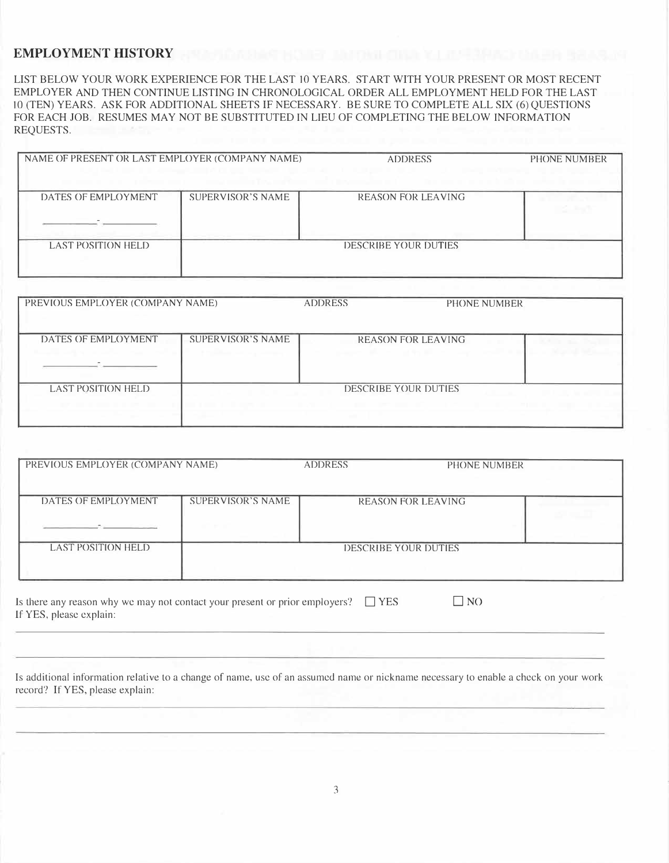#### **EMPLOYMENT HISTORY**

LIST BELOW YOUR WORK EXPERIENCE FOR THE LAST IO YEARS. START WITH YOUR PRESENT OR MOST RECENT EMPLOYER AND THEN CONTINUE LISTING IN CHRONOLOGICAL ORDER ALL EMPLOYMENT HELD FOR THE LAST 10 (TEN) YEARS. ASK FOR ADDITIONAL SHEETS IF NECESSARY. BE SURE TO COMPLETE ALL SIX (6) QUESTIONS FOR EACH JOB. RESUMES MAY NOT BE SUBSTITUTED IN LIEU OF COMPLETING THE BELOW INFORMATION REQUESTS.

| NAME OF PRESENT OR LAST EMPLOYER (COMPANY NAME) |                   | <b>ADDRESS</b>              | PHONE NUMBER |
|-------------------------------------------------|-------------------|-----------------------------|--------------|
| DATES OF EMPLOYMENT                             | SUPERVISOR'S NAME | <b>REASON FOR LEAVING</b>   |              |
| <b>LAST POSITION HELD</b>                       |                   | <b>DESCRIBE YOUR DUTIES</b> |              |

| PREVIOUS EMPLOYER (COMPANY NAME) |                   | <b>ADDRESS</b> | PHONE NUMBER                |  |
|----------------------------------|-------------------|----------------|-----------------------------|--|
| DATES OF EMPLOYMENT              | SUPERVISOR'S NAME |                | <b>REASON FOR LEAVING</b>   |  |
| <b>LAST POSITION HELD</b>        |                   |                | <b>DESCRIBE YOUR DUTIES</b> |  |

| PREVIOUS EMPLOYER (COMPANY NAME)                                                          |                   | <b>ADDRESS</b>       | PHONE NUMBER              |  |
|-------------------------------------------------------------------------------------------|-------------------|----------------------|---------------------------|--|
|                                                                                           |                   |                      |                           |  |
| DATES OF EMPLOYMENT                                                                       | SUPERVISOR'S NAME |                      | <b>REASON FOR LEAVING</b> |  |
| the company of the company of the company of the company of the company of the company of |                   |                      |                           |  |
| <b>LAST POSITION HELD</b>                                                                 |                   | DESCRIBE YOUR DUTIES |                           |  |
|                                                                                           |                   |                      |                           |  |
|                                                                                           |                   |                      |                           |  |

Is there any reason why we may not contact your present or prior employers?  $\square$  YES If YES, please explain:  $\square$  NO

Is additional information relative to a change of name, use of an assumed name or nickname necessary to enable a check on your work record? If YES, please explain: